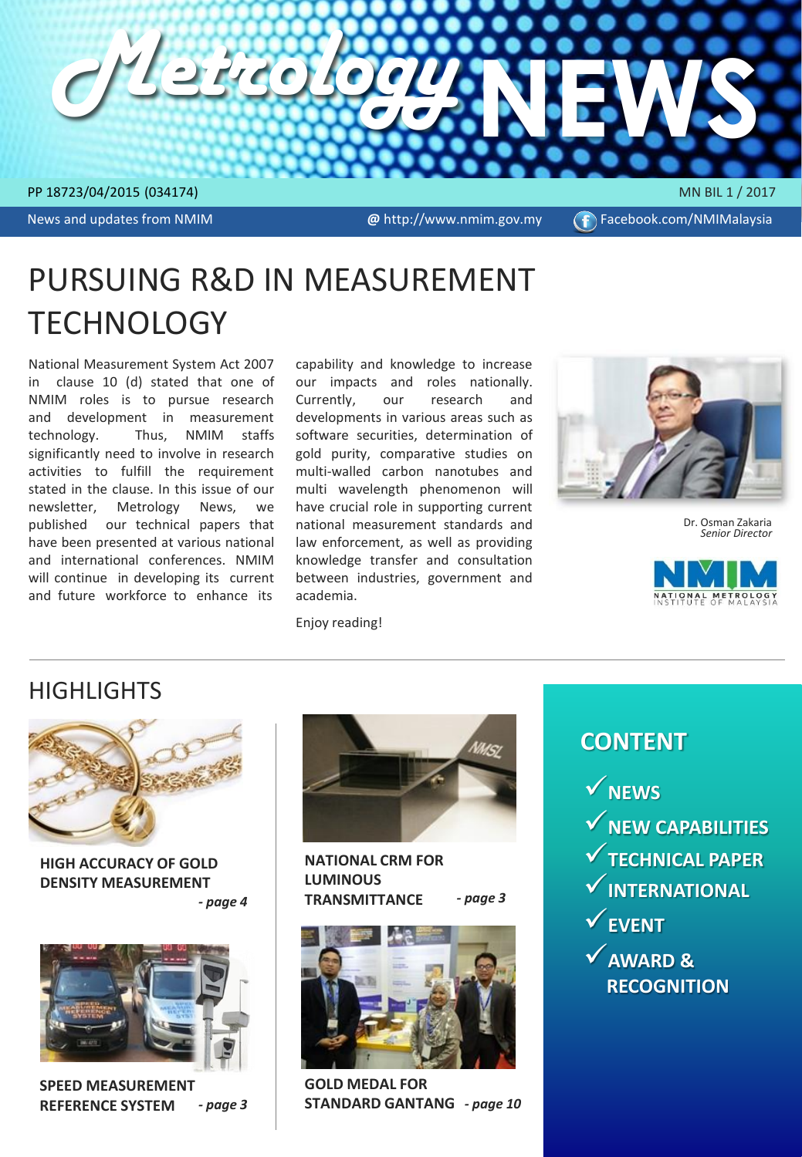

News and updates from NMIM

**@** http://www.nmim.gov.my (f) Facebook.com/NMIMalaysia

# PURSUING R&D IN MEASUREMENT TECHNOLOGY

National Measurement System Act 2007 in clause 10 (d) stated that one of NMIM roles is to pursue research and development in measurement technology. Thus, NMIM staffs significantly need to involve in research activities to fulfill the requirement stated in the clause. In this issue of our newsletter, Metrology News, we published our technical papers that have been presented at various national and international conferences. NMIM will continue in developing its current and future workforce to enhance its

capability and knowledge to increase our impacts and roles nationally. Currently, our research and developments in various areas such as software securities, determination of gold purity, comparative studies on multi-walled carbon nanotubes and multi wavelength phenomenon will have crucial role in supporting current national measurement standards and law enforcement, as well as providing knowledge transfer and consultation between industries, government and academia.



Dr. Osman Zakaria *Senior Director*



Enjoy reading!

# **HIGHLIGHTS**



**HIGH ACCURACY OF GOLD DENSITY MEASUREMENT**  *- page 4*



**SPEED MEASUREMENT REFERENCE SYSTEM** *- page 3* 



*- page 3*  **NATIONAL CRM FOR LUMINOUS TRANSMITTANCE** 





**GOLD MEDAL FOR STANDARD GANTANG** *- page 10* 

# **CONTENT**

**NEWS**

- **NEW CAPABILITIES**
- **TECHNICAL PAPER**
- **INTERNATIONAL**
- **EVENT**
- **AWARD & RECOGNITION**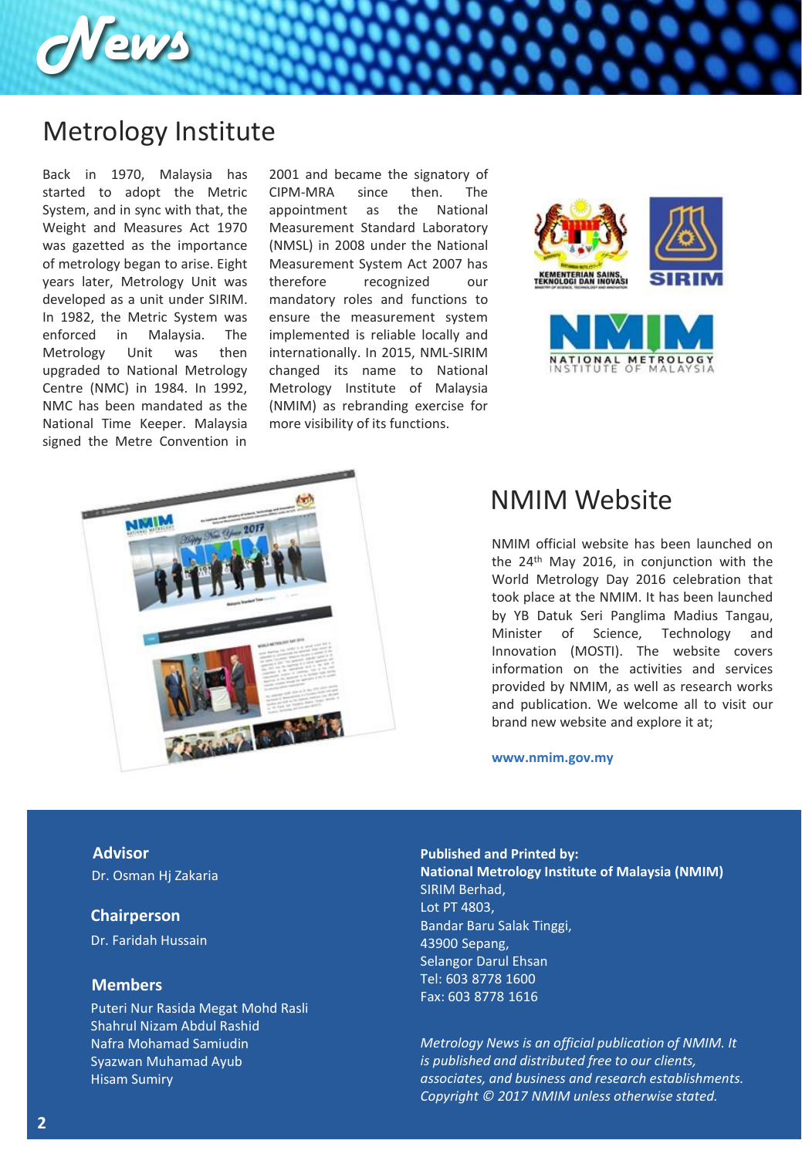

# Metrology Institute

Back in 1970, Malaysia has started to adopt the Metric System, and in sync with that, the Weight and Measures Act 1970 was gazetted as the importance of metrology began to arise. Eight years later, Metrology Unit was developed as a unit under SIRIM. In 1982, the Metric System was enforced in Malaysia. The Metrology Unit was then upgraded to National Metrology Centre (NMC) in 1984. In 1992, NMC has been mandated as the National Time Keeper. Malaysia signed the Metre Convention in

2001 and became the signatory of CIPM-MRA since then. The appointment as the National Measurement Standard Laboratory (NMSL) in 2008 under the National Measurement System Act 2007 has therefore recognized our mandatory roles and functions to ensure the measurement system implemented is reliable locally and internationally. In 2015, NML-SIRIM changed its name to National Metrology Institute of Malaysia (NMIM) as rebranding exercise for more visibility of its functions.





# NMIM Website

NMIM official website has been launched on the 24<sup>th</sup> May 2016, in conjunction with the World Metrology Day 2016 celebration that took place at the NMIM. It has been launched by YB Datuk Seri Panglima Madius Tangau, Minister of Science, Technology and Innovation (MOSTI). The website covers information on the activities and services provided by NMIM, as well as research works and publication. We welcome all to visit our brand new website and explore it at;

#### **www.nmim.gov.my**

**Advisor** Dr. Osman Hj Zakaria

#### **Chairperson**

Dr. Faridah Hussain

### **Members**

Puteri Nur Rasida Megat Mohd Rasli Shahrul Nizam Abdul Rashid Nafra Mohamad Samiudin Syazwan Muhamad Ayub Hisam Sumiry

**Published and Printed by: National Metrology Institute of Malaysia (NMIM)** SIRIM Berhad, Lot PT 4803, Bandar Baru Salak Tinggi, 43900 Sepang, Selangor Darul Ehsan Tel: 603 8778 1600 Fax: 603 8778 1616

*Metrology News is an official publication of NMIM. It is published and distributed free to our clients, associates, and business and research establishments. Copyright © 2017 NMIM unless otherwise stated.*